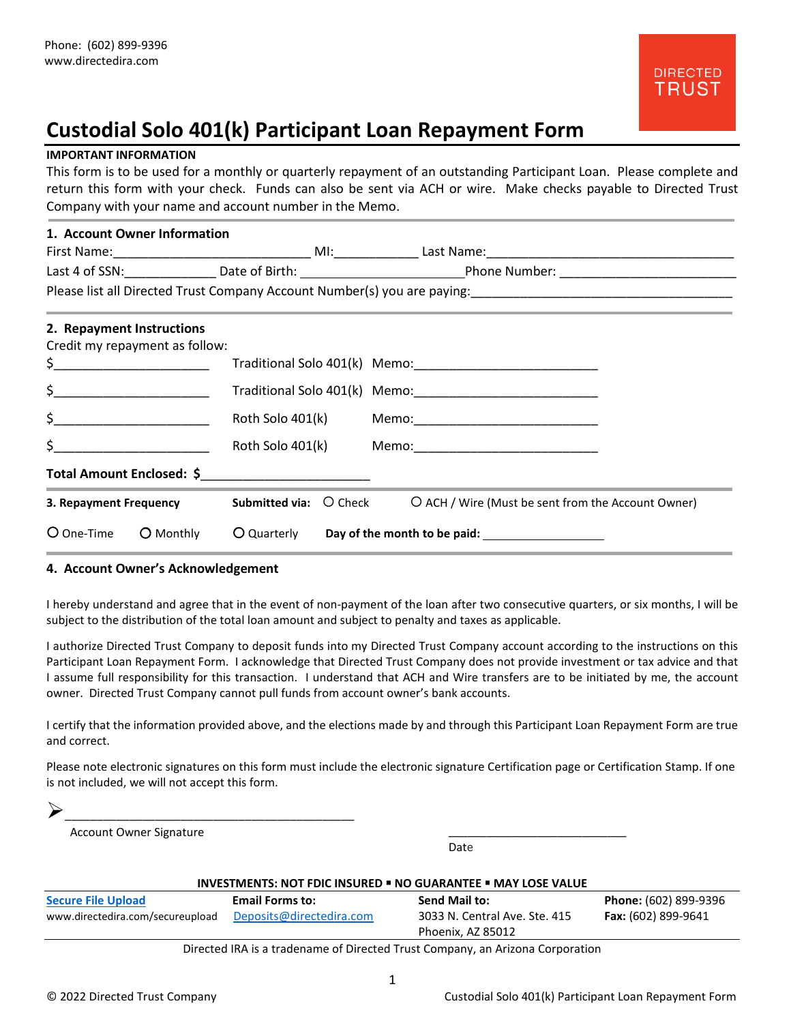# **Custodial Solo 401(k) Participant Loan Repayment Form**

# **IMPORTANT INFORMATION**

This form is to be used for a monthly or quarterly repayment of an outstanding Participant Loan. Please complete and return this form with your check. Funds can also be sent via ACH or wire. Make checks payable to Directed Trust Company with your name and account number in the Memo.

| 1. Account Owner Information                                                                                                                                                                                                                                            |                                                                                                                                                                     |
|-------------------------------------------------------------------------------------------------------------------------------------------------------------------------------------------------------------------------------------------------------------------------|---------------------------------------------------------------------------------------------------------------------------------------------------------------------|
|                                                                                                                                                                                                                                                                         |                                                                                                                                                                     |
|                                                                                                                                                                                                                                                                         |                                                                                                                                                                     |
|                                                                                                                                                                                                                                                                         | Please list all Directed Trust Company Account Number(s) you are paying:<br>Flease list all Directed Trust Company Account Number(s) you are paying:<br>The paying: |
| 2. Repayment Instructions                                                                                                                                                                                                                                               |                                                                                                                                                                     |
| Credit my repayment as follow:                                                                                                                                                                                                                                          |                                                                                                                                                                     |
| $\sharp$ $\Box$                                                                                                                                                                                                                                                         |                                                                                                                                                                     |
| $\begin{array}{c} \xi \end{array}$                                                                                                                                                                                                                                      |                                                                                                                                                                     |
| $\zeta$ and $\zeta$ and $\zeta$ and $\zeta$ and $\zeta$ and $\zeta$ and $\zeta$ and $\zeta$ and $\zeta$ and $\zeta$ and $\zeta$ and $\zeta$ and $\zeta$ and $\zeta$ and $\zeta$ and $\zeta$ and $\zeta$ and $\zeta$ and $\zeta$ and $\zeta$ and $\zeta$ and $\zeta$ and |                                                                                                                                                                     |
| $\zeta$ and $\zeta$ and $\zeta$ and $\zeta$ and $\zeta$ and $\zeta$ and $\zeta$ and $\zeta$ and $\zeta$ and $\zeta$ and $\zeta$ and $\zeta$ and $\zeta$ and $\zeta$ and $\zeta$ and $\zeta$ and $\zeta$ and $\zeta$ and $\zeta$ and $\zeta$ and $\zeta$ and $\zeta$ and |                                                                                                                                                                     |
| Total Amount Enclosed: \$__________________________                                                                                                                                                                                                                     |                                                                                                                                                                     |
| 3. Repayment Frequency                                                                                                                                                                                                                                                  | <b>Submitted via:</b> O Check O ACH / Wire (Must be sent from the Account Owner)                                                                                    |
| O One-Time<br>O Monthly                                                                                                                                                                                                                                                 | O Quarterly Day of the month to be paid: 100 Duarterly                                                                                                              |

## **4. Account Owner's Acknowledgement**

I hereby understand and agree that in the event of non-payment of the loan after two consecutive quarters, or six months, I will be subject to the distribution of the total loan amount and subject to penalty and taxes as applicable.

I authorize Directed Trust Company to deposit funds into my Directed Trust Company account according to the instructions on this Participant Loan Repayment Form. I acknowledge that Directed Trust Company does not provide investment or tax advice and that I assume full responsibility for this transaction. I understand that ACH and Wire transfers are to be initiated by me, the account owner. Directed Trust Company cannot pull funds from account owner's bank accounts.

I certify that the information provided above, and the elections made by and through this Participant Loan Repayment Form are true and correct.

Please note electronic signatures on this form must include the electronic signature Certification page or Certification Stamp. If one is not included, we will not accept this form.

| _________<br>_________ | ___________<br>_______ |  |
|------------------------|------------------------|--|

Account Owner Signature

Date

\_\_\_\_\_\_\_\_\_\_\_\_\_\_\_\_\_\_\_\_\_\_\_\_\_\_\_\_

| <b>INVESTMENTS: NOT FDIC INSURED . NO GUARANTEE . MAY LOSE VALUE</b>          |                                                    |                                                                     |                                                     |  |
|-------------------------------------------------------------------------------|----------------------------------------------------|---------------------------------------------------------------------|-----------------------------------------------------|--|
| <b>Secure File Upload</b><br>www.directedira.com/secureupload                 | <b>Email Forms to:</b><br>Deposits@directedira.com | Send Mail to:<br>3033 N. Central Ave. Ste. 415<br>Phoenix, AZ 85012 | Phone: (602) 899-9396<br><b>Fax:</b> (602) 899-9641 |  |
| Directed IRA is a tradename of Directed Trust Company, an Arizona Corporation |                                                    |                                                                     |                                                     |  |